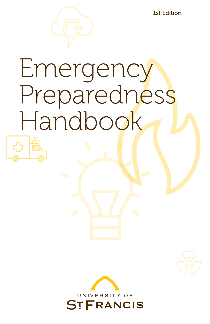1st Edition

# Emergency Preparedness Handbook

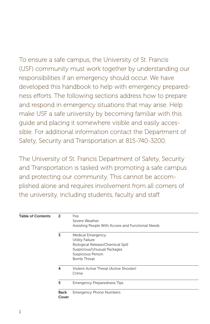To ensure a safe campus, the University of St. Francis (USF) community must work together by understanding our responsibilities if an emergency should occur. We have developed this handbook to help with emergency preparedness efforts. The following sections address how to prepare and respond in emergency situations that may arise. Help make USF a safe university by becoming familiar with this guide and placing it somewhere visible and easily accessible. For additional information contact the Department of Safety, Security and Transportation at 815-740-3200.

The University of St. Francis Department of Safety, Security and Transportation is tasked with promoting a safe campus and protecting our community. This cannot be accomplished alone and requires involvement from all corners of the university, including students, faculty and staff.

| <b>Table of Contents</b> | $\overline{a}$ | Fire<br>Severe Weather                                                                                                                              |
|--------------------------|----------------|-----------------------------------------------------------------------------------------------------------------------------------------------------|
|                          |                | Assisting People With Access and Functional Needs                                                                                                   |
|                          | 3              | Medical Emergency<br>Utility Failure<br>Biological Release/Chemical Spill<br>Suspicious/Unusual Packages<br>Suspicious Person<br><b>Bomb Threat</b> |
|                          | 4              | Violent Active Threat (Active Shooter)<br>Crime                                                                                                     |
|                          | 5              | <b>Emergency Preparedness Tips</b>                                                                                                                  |
|                          | Back<br>Cover  | <b>Emergency Phone Numbers</b>                                                                                                                      |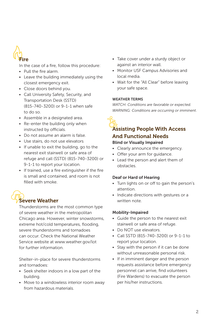

In the case of a fire, follow this procedure:

- Pull the fire alarm.
- Leave the building immediately using the closest emergency exit.
- Close doors behind you.
- Call University Safety, Security, and Transportation Desk (SSTD) (815-740-3200) or 9-1-1 when safe to do so.
- Assemble in a designated area.
- Re-enter the building only when instructed by officials.
- Do not assume an alarm is false.
- Use stairs, do not use elevators
- If unable to exit the building, go to the nearest exit stairwell or safe area of refuge and call (SSTD) (815-740-3200) or 9-1-1 to report your location.
- If trained, use a fire extinguisher if the fire is small and contained, and room is not filled with smoke.

## Severe Weather

Thunderstorms are the most common type of severe weather in the metropolitan Chicago area. However, winter snowstorms, extreme hot/cold temperatures, flooding, severe thunderstorms and tornadoes can occur. Check the National Weather Service website at www.weather.gov/lot for further information.

Shelter-in-place for severe thunderstorms and tornadoes:

- Seek shelter indoors in a low part of the building.
- Move to a windowless interior room away from hazardous materials.
- Take cover under a sturdy object or against an interior wall.
- Monitor USF Campus Advisories and local media.
- Wait for the "All Clear" before leaving your safe space.

#### WEATHER TERMS

*WATCH: Conditions are favorable or expected. WARNING: Conditions are occurring or imminent*.

#### Assisting People With Access And Functional Needs Blind or Visually Impaired

- Clearly announce the emergency.
- Offer your arm for guidance.
- Lead the person and alert them of obstacles.

#### Deaf or Hard of Hearing

- Turn lights on or off to gain the person's attention.
- Indicate directions with gestures or a written note.

#### Mobility-Impaired

- Guide the person to the nearest exit stairwell or safe area of refuge.
- Do NOT use elevators.
- Call SSTD (815-740-3200) or 9-1-1 to report your location.
- Stay with the person if it can be done without unreasonable personal risk.
- If in imminent danger and the person requests assistance before emergency personnel can arrive, find volunteers (Fire Wardens) to evacuate the person per his/her instructions.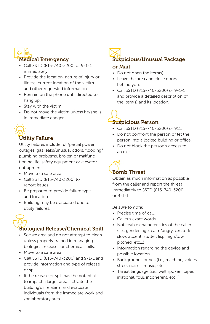

- Call SSTD (815-740-3200) or 9-1-1 immediately.
- Provide the location, nature of injury or illness, current location of the victim and other requested information.
- Remain on the phone until directed to hang up.
- Stay with the victim.
- Do not move the victim unless he/she is in immediate danger.

## Utility Failure

Utility failures include full/partial power outages, gas leaks/unusual odors, flooding/ plumbing problems, broken or malfunctioning life-safety equipment or elevator entrapment.

- Move to a safe area.
- Call SSTD (815-740-3200) to report issues.
- Be prepared to provide failure type and location.
- Building may be evacuated due to utility failures.

### Biological Release/Chemical Spill

- Secure area and do not attempt to clean unless properly trained in managing biological releases or chemical spills.
- Move to a safe area.
- Call SSTD (815-740-3200) and 9-1-1 and provide information and type of release or spill.
- If the release or spill has the potential to impact a larger area, activate the building's fire alarm and evacuate individuals from the immediate work and /or laboratory area.



#### or Mail

- Do not open the item(s).
- Leave the area and close doors behind you.
- Call SSTD (815-740-3200) or 9-1-1 and provide a detailed description of the item(s) and its location.

## Suspicious Person

- Call SSTD (815-740-3200) or 911.
- Do not confront the person or let the person into a locked building or office.
- Do not block the person's access to an exit.

## Bomb Threat

Obtain as much information as possible from the caller and report the threat immediately to SSTD (815-740-3200) or 9-1-1.

#### *Be sure to note:*

- Precise time of call.
- Caller's exact words.
- Noticeable characteristics of the caller (i.e., gender, age, calm/angry, excited/ slow, accent, stutter, lisp, high/low pitched, etc…)
- Information regarding the device and possible location.
- Background sounds (i.e., machine, voices, street noises, music, etc…)
- Threat language (i.e., well spoken, taped, irrational, foul, incoherent, etc…)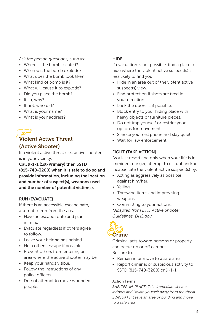*Ask the person questions, such as:*

- Where is the bomb located?
- When will the bomb explode?
- What does the bomb look like?
- What kind of bomb is it?
- What will cause it to explode?
- Did you place the bomb?
- If so, why?
- If not, who did?
- What is your name?
- What is your address?

### Violent Active Threat (Active Shooter)

If a violent active threat (i.e., active shooter) is in your vicinity:

#### Call 9-1-1 (1st-Primary) then SSTD (815-740-3200) when it is safe to do so and

provide information, including the location and number of suspect(s), weapons used and the number of potential victim(s).

#### RUN (EVACUATE)

If there is an accessible escape path, attempt to run from the area:

- Have an escape route and plan in mind.
- Evacuate regardless if others agree to follow.
- Leave your belongings behind.
- Help others escape if possible.
- Prevent others from entering an area where the active shooter may be.
- Keep your hands visible.
- Follow the instructions of any police officers.
- Do not attempt to move wounded people.

#### **HIDE**

If evacuation is not possible, find a place to hide where the violent active suspect(s) is less likely to find you:

- Hide in an area out of the violent active suspect(s) view.
- Find protection if shots are fired in your direction.
- Lock the door(s)...if possible.
- Block entry to your hiding place with heavy objects or furniture pieces.
- Do not trap yourself or restrict your options for movement.
- Silence your cell phone and stay quiet.
- Wait for law enforcement.

#### FIGHT (TAKE ACTION)

As a last resort and only when your life is in imminent danger, attempt to disrupt and/or incapacitate the violent active suspect(s) by:

- Acting as aggressively as possible against him/her.
- Yelling.
- Throwing items and improvising weapons.
- Committing to your actions.

*\*Adapted from DHS Active Shooter Guidelines, DHS.gov*



Criminal acts toward persons or property can occur on or off campus.

Be sure to:

- Remain in or move to a safe area.
- Report criminal or suspicious activity to SSTD (815-740-3200) or 9-1-1.

#### Action Terms

*SHELTER-IN-PLACE: Take immediate shelter indoors and isolate yourself away from the threat. EVACUATE: Leave an area or building and move to a safe area.*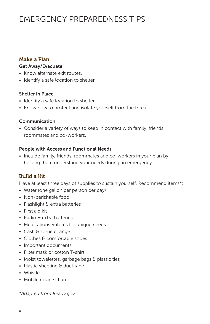## EMERGENCY PREPAREDNESS TIPS

#### Make a Plan

#### Get Away/Evacuate

- Know alternate exit routes.
- Identify a safe location to shelter.

#### Shelter in Place

- Identify a safe location to shelter.
- Know how to protect and isolate yourself from the threat.

#### Communication

• Consider a variety of ways to keep in contact with family, friends, roommates and co-workers.

#### People with Access and Functional Needs

• Include family, friends, roommates and co-workers in your plan by helping them understand your needs during an emergency.

#### Build a Kit

Have at least three days of supplies to sustain yourself. Recommend items\*:

- Water (one gallon per person per day)
- Non-perishable food
- Flashlight & extra batteries
- First aid kit
- Radio & extra batteries
- Medications & items for unique needs
- Cash & some change
- Clothes & comfortable shoes
- Important documents
- Filter mask or cotton T-shirt
- Moist towelettes, garbage bags & plastic ties
- Plastic sheeting  $\theta$  duct tape
- Whistle
- Mobile device charger

*\*Adapted from Ready.gov*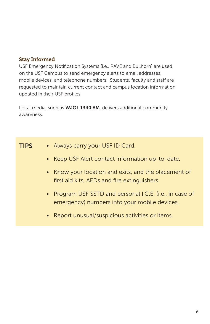#### Stay Informed

USF Emergency Notification Systems (i.e., RAVE and Bullhorn) are used on the USF Campus to send emergency alerts to email addresses, mobile devices, and telephone numbers. Students, faculty and staff are requested to maintain current contact and campus location information updated in their USF profiles.

Local media, such as WJOL 1340 AM, delivers additional community awareness.

| <b>TIPS</b> | • Always carry your USF ID Card.                                                                         |
|-------------|----------------------------------------------------------------------------------------------------------|
|             | • Keep USF Alert contact information up-to-date.                                                         |
|             | • Know your location and exits, and the placement of<br>first aid kits, AEDs and fire extinguishers.     |
|             | • Program USF SSTD and personal I.C.E. (i.e., in case of<br>emergency) numbers into your mobile devices. |
|             | • Report unusual/suspicious activities or items.                                                         |